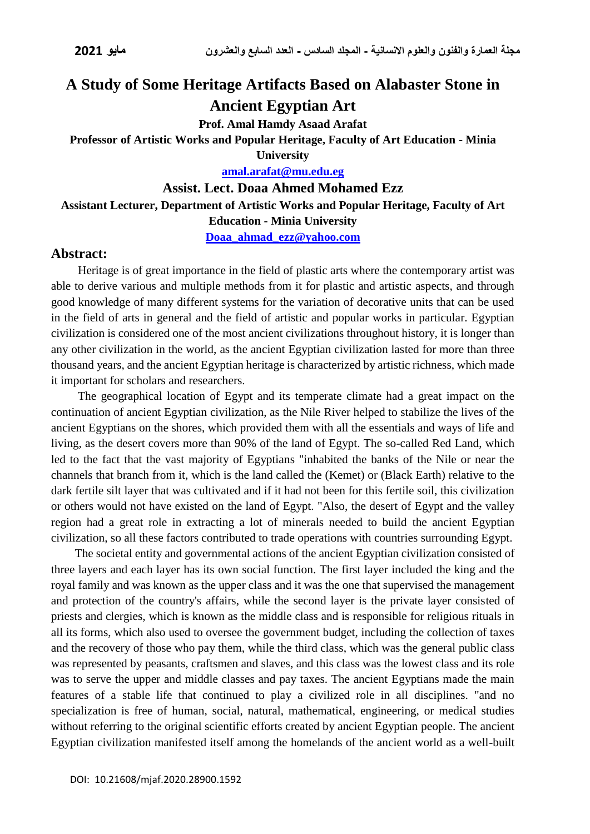# **A Study of Some Heritage Artifacts Based on Alabaster Stone in Ancient Egyptian Art**

**Prof. Amal Hamdy Asaad Arafat**

#### **Professor of Artistic Works and Popular Heritage, Faculty of Art Education - Minia**

**University**

**[amal.arafat@mu.edu.eg](mailto:amal.arafat@mu.edu.eg)**

**Assist. Lect. Doaa Ahmed Mohamed Ezz**

#### **Assistant Lecturer, Department of Artistic Works and Popular Heritage, Faculty of Art**

**Education - Minia University**

**[Doaa\\_ahmad\\_ezz@yahoo.com](mailto:Doaa_ahmad_ezz@yahoo.com)**

#### **Abstract:**

Heritage is of great importance in the field of plastic arts where the contemporary artist was able to derive various and multiple methods from it for plastic and artistic aspects, and through good knowledge of many different systems for the variation of decorative units that can be used in the field of arts in general and the field of artistic and popular works in particular. Egyptian civilization is considered one of the most ancient civilizations throughout history, it is longer than any other civilization in the world, as the ancient Egyptian civilization lasted for more than three thousand years, and the ancient Egyptian heritage is characterized by artistic richness, which made it important for scholars and researchers.

The geographical location of Egypt and its temperate climate had a great impact on the continuation of ancient Egyptian civilization, as the Nile River helped to stabilize the lives of the ancient Egyptians on the shores, which provided them with all the essentials and ways of life and living, as the desert covers more than 90% of the land of Egypt. The so-called Red Land, which led to the fact that the vast majority of Egyptians "inhabited the banks of the Nile or near the channels that branch from it, which is the land called the (Kemet) or (Black Earth) relative to the dark fertile silt layer that was cultivated and if it had not been for this fertile soil, this civilization or others would not have existed on the land of Egypt. "Also, the desert of Egypt and the valley region had a great role in extracting a lot of minerals needed to build the ancient Egyptian civilization, so all these factors contributed to trade operations with countries surrounding Egypt.

 The societal entity and governmental actions of the ancient Egyptian civilization consisted of three layers and each layer has its own social function. The first layer included the king and the royal family and was known as the upper class and it was the one that supervised the management and protection of the country's affairs, while the second layer is the private layer consisted of priests and clergies, which is known as the middle class and is responsible for religious rituals in all its forms, which also used to oversee the government budget, including the collection of taxes and the recovery of those who pay them, while the third class, which was the general public class was represented by peasants, craftsmen and slaves, and this class was the lowest class and its role was to serve the upper and middle classes and pay taxes. The ancient Egyptians made the main features of a stable life that continued to play a civilized role in all disciplines. "and no specialization is free of human, social, natural, mathematical, engineering, or medical studies without referring to the original scientific efforts created by ancient Egyptian people. The ancient Egyptian civilization manifested itself among the homelands of the ancient world as a well-built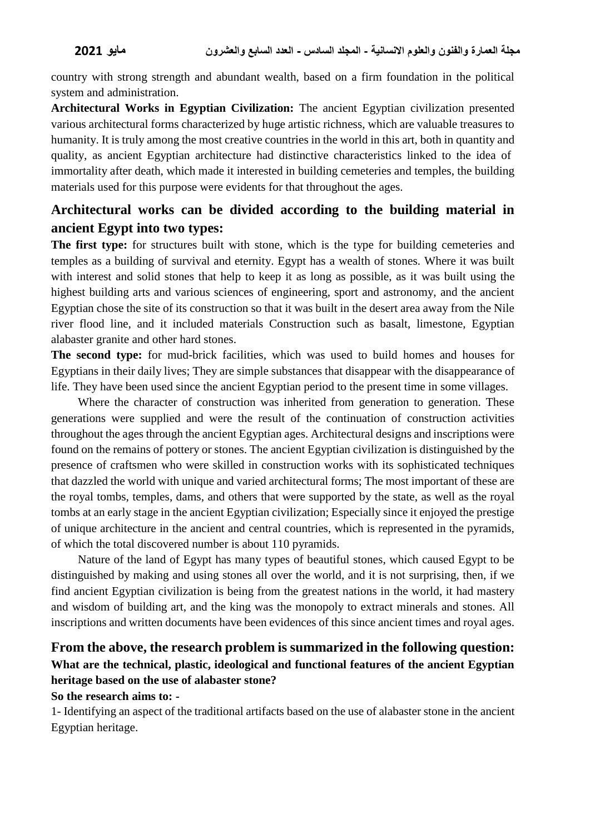country with strong strength and abundant wealth, based on a firm foundation in the political system and administration.

**Architectural Works in Egyptian Civilization:** The ancient Egyptian civilization presented various architectural forms characterized by huge artistic richness, which are valuable treasures to humanity. It is truly among the most creative countries in the world in this art, both in quantity and quality, as ancient Egyptian architecture had distinctive characteristics linked to the idea of immortality after death, which made it interested in building cemeteries and temples, the building materials used for this purpose were evidents for that throughout the ages.

# **Architectural works can be divided according to the building material in ancient Egypt into two types:**

**The first type:** for structures built with stone, which is the type for building cemeteries and temples as a building of survival and eternity. Egypt has a wealth of stones. Where it was built with interest and solid stones that help to keep it as long as possible, as it was built using the highest building arts and various sciences of engineering, sport and astronomy, and the ancient Egyptian chose the site of its construction so that it was built in the desert area away from the Nile river flood line, and it included materials Construction such as basalt, limestone, Egyptian alabaster granite and other hard stones.

**The second type:** for mud-brick facilities, which was used to build homes and houses for Egyptians in their daily lives; They are simple substances that disappear with the disappearance of life. They have been used since the ancient Egyptian period to the present time in some villages.

Where the character of construction was inherited from generation to generation. These generations were supplied and were the result of the continuation of construction activities throughout the ages through the ancient Egyptian ages. Architectural designs and inscriptions were found on the remains of pottery or stones. The ancient Egyptian civilization is distinguished by the presence of craftsmen who were skilled in construction works with its sophisticated techniques that dazzled the world with unique and varied architectural forms; The most important of these are the royal tombs, temples, dams, and others that were supported by the state, as well as the royal tombs at an early stage in the ancient Egyptian civilization; Especially since it enjoyed the prestige of unique architecture in the ancient and central countries, which is represented in the pyramids, of which the total discovered number is about 110 pyramids.

Nature of the land of Egypt has many types of beautiful stones, which caused Egypt to be distinguished by making and using stones all over the world, and it is not surprising, then, if we find ancient Egyptian civilization is being from the greatest nations in the world, it had mastery and wisdom of building art, and the king was the monopoly to extract minerals and stones. All inscriptions and written documents have been evidences of this since ancient times and royal ages.

# **From the above, the research problem is summarized in the following question: What are the technical, plastic, ideological and functional features of the ancient Egyptian heritage based on the use of alabaster stone?**

#### **So the research aims to: -**

1- Identifying an aspect of the traditional artifacts based on the use of alabaster stone in the ancient Egyptian heritage.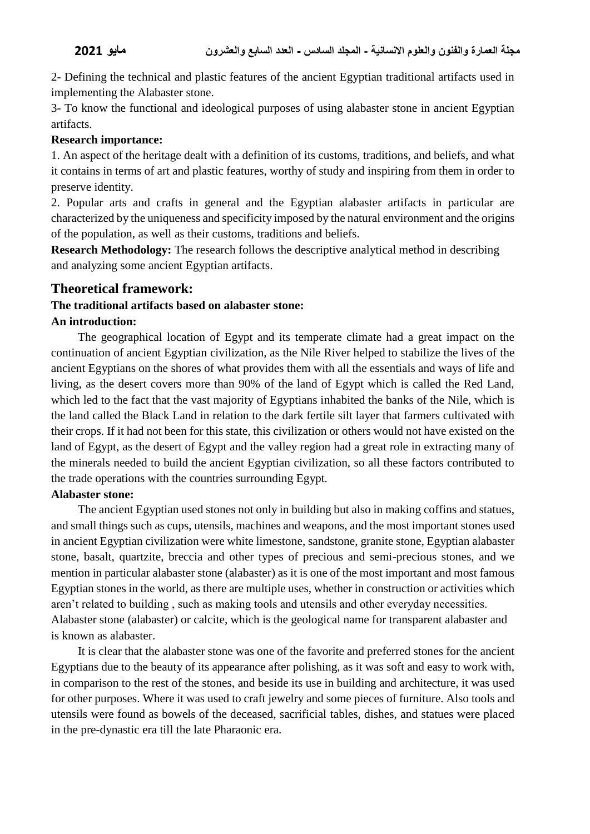2- Defining the technical and plastic features of the ancient Egyptian traditional artifacts used in implementing the Alabaster stone.

3- To know the functional and ideological purposes of using alabaster stone in ancient Egyptian artifacts.

#### **Research importance:**

1. An aspect of the heritage dealt with a definition of its customs, traditions, and beliefs, and what it contains in terms of art and plastic features, worthy of study and inspiring from them in order to preserve identity.

2. Popular arts and crafts in general and the Egyptian alabaster artifacts in particular are characterized by the uniqueness and specificity imposed by the natural environment and the origins of the population, as well as their customs, traditions and beliefs.

**Research Methodology:** The research follows the descriptive analytical method in describing and analyzing some ancient Egyptian artifacts.

### **Theoretical framework:**

#### **The traditional artifacts based on alabaster stone: An introduction:**

The geographical location of Egypt and its temperate climate had a great impact on the continuation of ancient Egyptian civilization, as the Nile River helped to stabilize the lives of the ancient Egyptians on the shores of what provides them with all the essentials and ways of life and living, as the desert covers more than 90% of the land of Egypt which is called the Red Land, which led to the fact that the vast majority of Egyptians inhabited the banks of the Nile, which is the land called the Black Land in relation to the dark fertile silt layer that farmers cultivated with their crops. If it had not been for this state, this civilization or others would not have existed on the land of Egypt, as the desert of Egypt and the valley region had a great role in extracting many of the minerals needed to build the ancient Egyptian civilization, so all these factors contributed to the trade operations with the countries surrounding Egypt.

#### **Alabaster stone:**

The ancient Egyptian used stones not only in building but also in making coffins and statues, and small things such as cups, utensils, machines and weapons, and the most important stones used in ancient Egyptian civilization were white limestone, sandstone, granite stone, Egyptian alabaster stone, basalt, quartzite, breccia and other types of precious and semi-precious stones, and we mention in particular alabaster stone (alabaster) as it is one of the most important and most famous Egyptian stones in the world, as there are multiple uses, whether in construction or activities which aren't related to building , such as making tools and utensils and other everyday necessities. Alabaster stone (alabaster) or calcite, which is the geological name for transparent alabaster and is known as alabaster.

It is clear that the alabaster stone was one of the favorite and preferred stones for the ancient Egyptians due to the beauty of its appearance after polishing, as it was soft and easy to work with, in comparison to the rest of the stones, and beside its use in building and architecture, it was used for other purposes. Where it was used to craft jewelry and some pieces of furniture. Also tools and utensils were found as bowels of the deceased, sacrificial tables, dishes, and statues were placed in the pre-dynastic era till the late Pharaonic era.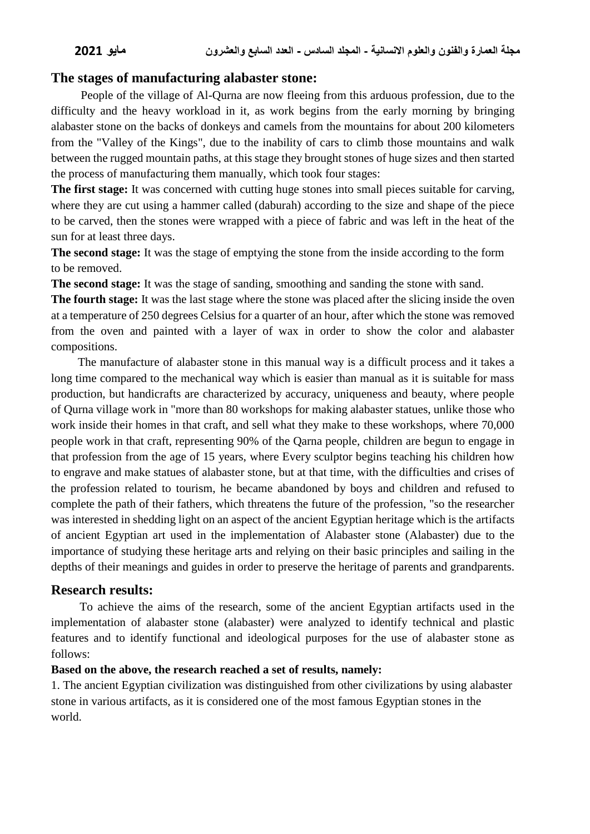### **The stages of manufacturing alabaster stone:**

People of the village of Al-Qurna are now fleeing from this arduous profession, due to the difficulty and the heavy workload in it, as work begins from the early morning by bringing alabaster stone on the backs of donkeys and camels from the mountains for about 200 kilometers from the "Valley of the Kings", due to the inability of cars to climb those mountains and walk between the rugged mountain paths, at this stage they brought stones of huge sizes and then started the process of manufacturing them manually, which took four stages:

**The first stage:** It was concerned with cutting huge stones into small pieces suitable for carving, where they are cut using a hammer called (daburah) according to the size and shape of the piece to be carved, then the stones were wrapped with a piece of fabric and was left in the heat of the sun for at least three days.

**The second stage:** It was the stage of emptying the stone from the inside according to the form to be removed.

**The second stage:** It was the stage of sanding, smoothing and sanding the stone with sand.

**The fourth stage:** It was the last stage where the stone was placed after the slicing inside the oven at a temperature of 250 degrees Celsius for a quarter of an hour, after which the stone was removed from the oven and painted with a layer of wax in order to show the color and alabaster compositions.

The manufacture of alabaster stone in this manual way is a difficult process and it takes a long time compared to the mechanical way which is easier than manual as it is suitable for mass production, but handicrafts are characterized by accuracy, uniqueness and beauty, where people of Qurna village work in "more than 80 workshops for making alabaster statues, unlike those who work inside their homes in that craft, and sell what they make to these workshops, where 70,000 people work in that craft, representing 90% of the Qarna people, children are begun to engage in that profession from the age of 15 years, where Every sculptor begins teaching his children how to engrave and make statues of alabaster stone, but at that time, with the difficulties and crises of the profession related to tourism, he became abandoned by boys and children and refused to complete the path of their fathers, which threatens the future of the profession, "so the researcher was interested in shedding light on an aspect of the ancient Egyptian heritage which is the artifacts of ancient Egyptian art used in the implementation of Alabaster stone (Alabaster) due to the importance of studying these heritage arts and relying on their basic principles and sailing in the depths of their meanings and guides in order to preserve the heritage of parents and grandparents.

#### **Research results:**

 To achieve the aims of the research, some of the ancient Egyptian artifacts used in the implementation of alabaster stone (alabaster) were analyzed to identify technical and plastic features and to identify functional and ideological purposes for the use of alabaster stone as follows:

#### **Based on the above, the research reached a set of results, namely:**

1. The ancient Egyptian civilization was distinguished from other civilizations by using alabaster stone in various artifacts, as it is considered one of the most famous Egyptian stones in the world.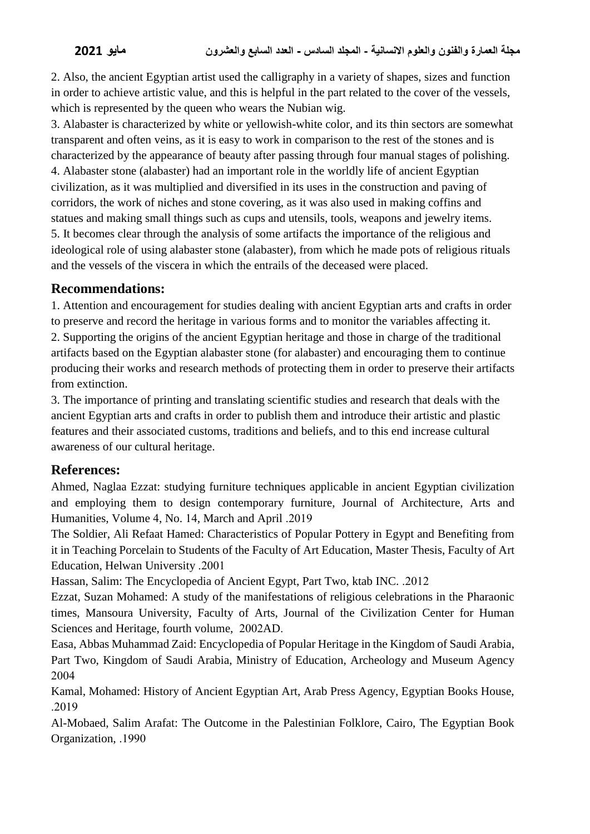2. Also, the ancient Egyptian artist used the calligraphy in a variety of shapes, sizes and function in order to achieve artistic value, and this is helpful in the part related to the cover of the vessels, which is represented by the queen who wears the Nubian wig.

3. Alabaster is characterized by white or yellowish-white color, and its thin sectors are somewhat transparent and often veins, as it is easy to work in comparison to the rest of the stones and is characterized by the appearance of beauty after passing through four manual stages of polishing. 4. Alabaster stone (alabaster) had an important role in the worldly life of ancient Egyptian civilization, as it was multiplied and diversified in its uses in the construction and paving of corridors, the work of niches and stone covering, as it was also used in making coffins and statues and making small things such as cups and utensils, tools, weapons and jewelry items. 5. It becomes clear through the analysis of some artifacts the importance of the religious and ideological role of using alabaster stone (alabaster), from which he made pots of religious rituals and the vessels of the viscera in which the entrails of the deceased were placed.

# **Recommendations:**

1. Attention and encouragement for studies dealing with ancient Egyptian arts and crafts in order to preserve and record the heritage in various forms and to monitor the variables affecting it. 2. Supporting the origins of the ancient Egyptian heritage and those in charge of the traditional artifacts based on the Egyptian alabaster stone (for alabaster) and encouraging them to continue producing their works and research methods of protecting them in order to preserve their artifacts from extinction.

3. The importance of printing and translating scientific studies and research that deals with the ancient Egyptian arts and crafts in order to publish them and introduce their artistic and plastic features and their associated customs, traditions and beliefs, and to this end increase cultural awareness of our cultural heritage.

## **References:**

Ahmed, Naglaa Ezzat: studying furniture techniques applicable in ancient Egyptian civilization and employing them to design contemporary furniture, Journal of Architecture, Arts and Humanities, Volume 4, No. 14, March and April .2019

The Soldier, Ali Refaat Hamed: Characteristics of Popular Pottery in Egypt and Benefiting from it in Teaching Porcelain to Students of the Faculty of Art Education, Master Thesis, Faculty of Art Education, Helwan University .2001

Hassan, Salim: The Encyclopedia of Ancient Egypt, Part Two, ktab INC. .2012

Ezzat, Suzan Mohamed: A study of the manifestations of religious celebrations in the Pharaonic times, Mansoura University, Faculty of Arts, Journal of the Civilization Center for Human Sciences and Heritage, fourth volume, 2002AD.

Easa, Abbas Muhammad Zaid: Encyclopedia of Popular Heritage in the Kingdom of Saudi Arabia, Part Two, Kingdom of Saudi Arabia, Ministry of Education, Archeology and Museum Agency 2004

Kamal, Mohamed: History of Ancient Egyptian Art, Arab Press Agency, Egyptian Books House, .2019

Al-Mobaed, Salim Arafat: The Outcome in the Palestinian Folklore, Cairo, The Egyptian Book Organization, .1990